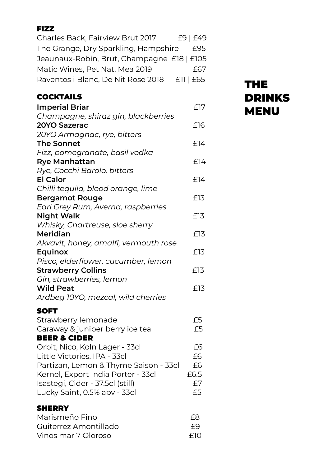# FIZZ Charles Back, Fairview Brut 2017 £9 | £49 The Grange, Dry Sparkling, Hampshire £95 Jeaunaux-Robin, Brut, Champagne £18 | £105 Matic Wines, Pet Nat, Mea 2019 667 Raventos i Blanc, De Nit Rose 2018 £11 | £65

| <b>COCKTAILS</b>                      |      |
|---------------------------------------|------|
| <b>Imperial Briar</b>                 | £17  |
| Champagne, shiraz gin, blackberries   |      |
| 20YO Sazerac                          | £16  |
| 20YO Armagnac, rye, bitters           |      |
| <b>The Sonnet</b>                     | £14  |
| Fizz, pomegranate, basil vodka        |      |
| <b>Rye Manhattan</b>                  | £14  |
| Rye, Cocchi Barolo, bitters           |      |
| <b>El Calor</b>                       | £14  |
| Chilli tequila, blood orange, lime    |      |
| <b>Bergamot Rouge</b>                 | £13  |
| Earl Grey Rum, Averna, raspberries    |      |
| <b>Night Walk</b>                     | £13  |
| Whisky, Chartreuse, sloe sherry       |      |
| Meridian                              | £13  |
| Akvavit, honey, amalfi, vermouth rose |      |
| Equinox                               | £13  |
| Pisco, elderflower, cucumber, lemon   |      |
| <b>Strawberry Collins</b>             | £13  |
| Gin, strawberries, lemon              |      |
| <b>Wild Peat</b>                      | £13  |
| Ardbeg 10YO, mezcal, wild cherries    |      |
| <b>SOFT</b>                           |      |
| Strawberry lemonade                   | £5   |
| Caraway & juniper berry ice tea       | £5   |
| <b>BEER &amp; CIDER</b>               |      |
| Orbit, Nico, Koln Lager - 33cl        | £6   |
| Little Victories, IPA - 33cl          | £6   |
| Partizan, Lemon & Thyme Saison - 33cl | £6   |
| Kernel, Export India Porter - 33cl    | £6.5 |
| Isastegi, Cider - 37.5cl (still)      | £7   |
| Lucky Saint, 0.5% abv - 33cl          | £5   |

# THE DRINKS **MENU**

#### **SHERRY** Marismeño Fino £8

| Guiterrez Amontillado | F9   |
|-----------------------|------|
| Vinos mar 7 Oloroso   | -FIO |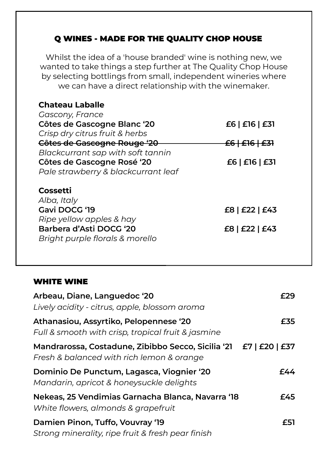# Q WINES - MADE FOR THE QUALITY CHOP HOUSE

Whilst the idea of a 'house branded' wine is nothing new, we wanted to take things a step further at The Quality Chop House by selecting bottlings from small, independent wineries where we can have a direct relationship with the winemaker.

| <b>Chateau Laballe</b>                   |                           |
|------------------------------------------|---------------------------|
| Gascony, France                          |                           |
| Côtes de Gascogne Blanc '20              | £6   £16   £31            |
| Crisp dry citrus fruit & herbs           |                           |
| Côtes de Gascogne Rouge '20              | <del>£6   £16   £31</del> |
| Blackcurrant sap with soft tannin        |                           |
| Côtes de Gascogne Rosé '20               | £6   £16   £31            |
| Pale strawberry & blackcurrant leaf      |                           |
| Cossetti<br>Alba, Italy<br>Gavi DOCG '19 | £8   £22   £43            |
| Ripe yellow apples & hay                 |                           |
| Barbera d'Asti DOCG '20                  | £8   £22   £43            |
| Bright purple florals & morello          |                           |
|                                          |                           |

#### WHITE WINE

| Arbeau, Diane, Languedoc '20<br>Lively acidity - citrus, apple, blossom aroma                                  | F29. |
|----------------------------------------------------------------------------------------------------------------|------|
| Athanasiou, Assyrtiko, Pelopennese '20<br>Full & smooth with crisp, tropical fruit & jasmine                   | £35  |
| Mandrarossa, Costadune, Zibibbo Secco, Sicilia '21 £7   £20   £37<br>Fresh & balanced with rich lemon & orange |      |
| Dominio De Punctum, Lagasca, Viognier '20<br>Mandarin, apricot & honeysuckle delights                          | f44  |
| Nekeas, 25 Vendimias Garnacha Blanca, Navarra '18<br>White flowers, almonds & grapefruit                       | £45  |
| Damien Pinon, Tuffo, Vouvray '19<br>Strong minerality, ripe fruit & fresh pear finish                          | £51  |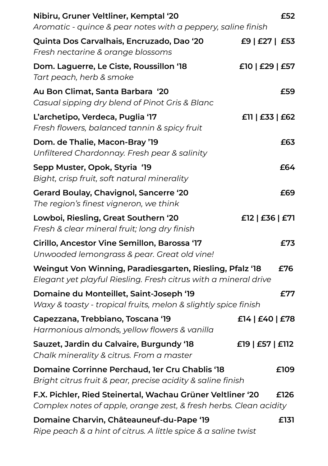| Nibiru, Gruner Veltliner, Kemptal '20<br>Aromatic - quince & pear notes with a peppery, saline finish                           | £52              |
|---------------------------------------------------------------------------------------------------------------------------------|------------------|
| Quinta Dos Carvalhais, Encruzado, Dao '20<br>Fresh nectarine & orange blossoms                                                  | £9   £27   £53   |
| Dom. Laguerre, Le Ciste, Roussillon '18<br>Tart peach, herb & smoke                                                             | £10   £29   £57  |
| Au Bon Climat, Santa Barbara '20<br>Casual sipping dry blend of Pinot Gris & Blanc                                              | £59              |
| L'archetipo, Verdeca, Puglia '17<br>Fresh flowers, balanced tannin & spicy fruit                                                | E11   E33   E62  |
| Dom. de Thalie, Macon-Bray '19<br>Unfiltered Chardonnay. Fresh pear & salinity                                                  | £63              |
| Sepp Muster, Opok, Styria '19<br>Bight, crisp fruit, soft natural minerality                                                    | £64              |
| Gerard Boulay, Chavignol, Sancerre '20<br>The region's finest vigneron, we think                                                | £69              |
| Lowboi, Riesling, Great Southern '20<br>Fresh & clear mineral fruit; long dry finish                                            | £12   £36   £71  |
| Cirillo, Ancestor Vine Semillon, Barossa '17<br>Unwooded lemongrass & pear. Great old vine!                                     | £73              |
| Weingut Von Winning, Paradiesgarten, Riesling, Pfalz '18<br>Elegant yet playful Riesling. Fresh citrus with a mineral drive     | £76              |
| Domaine du Monteillet, Saint-Joseph '19<br>Waxy & toasty - tropical fruits, melon & slightly spice finish                       | £77              |
| Capezzana, Trebbiano, Toscana '19<br>Harmonious almonds, yellow flowers & vanilla                                               | £14   £40   £78  |
| Sauzet, Jardin du Calvaire, Burgundy '18<br>Chalk minerality & citrus. From a master                                            | £19   £57   £112 |
| Domaine Corrinne Perchaud, 1er Cru Chablis '18<br>Bright citrus fruit & pear, precise acidity & saline finish                   | £109             |
| F.X. Pichler, Ried Steinertal, Wachau Grüner Veltliner '20<br>Complex notes of apple, orange zest, & fresh herbs. Clean acidity | £126             |
| Domaine Charvin, Châteauneuf-du-Pape '19<br>Ripe peach & a hint of citrus. A little spice & a saline twist                      | £131             |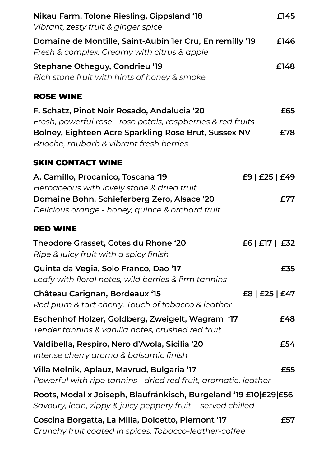| Nikau Farm, Tolone Riesling, Gippsland '18<br>Vibrant, zesty fruit & ginger spice                                               | £145           |
|---------------------------------------------------------------------------------------------------------------------------------|----------------|
| Domaine de Montille, Saint-Aubin 1er Cru, En remilly '19<br>Fresh & complex. Creamy with citrus & apple                         | £146           |
| Stephane Otheguy, Condrieu '19<br>Rich stone fruit with hints of honey & smoke                                                  | £148           |
| <b>ROSE WINE</b>                                                                                                                |                |
| F. Schatz, Pinot Noir Rosado, Andalucia '20<br>Fresh, powerful rose - rose petals, raspberries & red fruits                     | £65            |
| Bolney, Eighteen Acre Sparkling Rose Brut, Sussex NV<br>Brioche, rhubarb & vibrant fresh berries                                | £78            |
| <b>SKIN CONTACT WINE</b>                                                                                                        |                |
| A. Camillo, Procanico, Toscana '19<br>Herbaceous with lovely stone & dried fruit                                                | £9   £25   £49 |
| Domaine Bohn, Schieferberg Zero, Alsace '20<br>Delicious orange - honey, quince & orchard fruit                                 | £77            |
| <b>RED WINE</b>                                                                                                                 |                |
| Theodore Grasset, Cotes du Rhone '20<br>Ripe & juicy fruit with a spicy finish                                                  | £6   £17   £32 |
| Quinta da Vegia, Solo Franco, Dao '17<br>Leafy with floral notes, wild berries & firm tannins                                   | £35.           |
| Château Carignan, Bordeaux '15<br>Red plum & tart cherry. Touch of tobacco & leather                                            | £8   £25   £47 |
| Eschenhof Holzer, Goldberg, Zweigelt, Wagram '17<br>Tender tannins & vanilla notes, crushed red fruit                           | £48            |
| Valdibella, Respiro, Nero d'Avola, Sicilia '20<br>Intense cherry aroma & balsamic finish                                        | £54            |
| Villa Melnik, Aplauz, Mavrud, Bulgaria '17<br>Powerful with ripe tannins - dried red fruit, aromatic, leather                   | £55            |
| Roots, Modal x Joiseph, Blaufränkisch, Burgeland '19 £10 £29 £56<br>Savoury, lean, zippy & juicy peppery fruit - served chilled |                |
| Coscina Borgatta, La Milla, Dolcetto, Piemont '17<br>Crunchy fruit coated in spices. Tobacco-leather-coffee                     | £57            |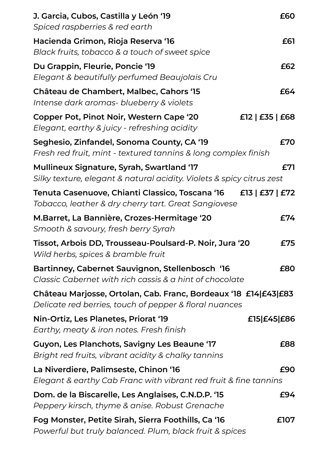| J. Garcia, Cubos, Castilla y León '19<br>Spiced raspberries & red earth                                                   | £60             |
|---------------------------------------------------------------------------------------------------------------------------|-----------------|
| Hacienda Grimon, Rioja Reserva '16<br>Black fruits, tobacco & a touch of sweet spice                                      | £61             |
| Du Grappin, Fleurie, Poncie '19<br>Elegant & beautifully perfumed Beaujolais Cru                                          | £62             |
| Château de Chambert, Malbec, Cahors '15<br>Intense dark aromas- blueberry & violets                                       | £64             |
| Copper Pot, Pinot Noir, Western Cape '20<br>Elegant, earthy & juicy - refreshing acidity                                  | £12   £35   £68 |
| Seghesio, Zinfandel, Sonoma County, CA '19<br>Fresh red fruit, mint - textured tannins & long complex finish              | £70             |
| Mullineux Signature, Syrah, Swartland '17<br>Silky texture, elegant & natural acidity. Violets & spicy citrus zest        | £71             |
| Tenuta Casenuove, Chianti Classico, Toscana '16<br>Tobacco, leather & dry cherry tart. Great Sangiovese                   | £13   £37   £72 |
| M.Barret, La Bannière, Crozes-Hermitage '20<br>Smooth & savoury, fresh berry Syrah                                        | £74             |
| Tissot, Arbois DD, Trousseau-Poulsard-P. Noir, Jura '20<br>Wild herbs, spices & bramble fruit                             | £75             |
| Bartinney, Cabernet Sauvignon, Stellenbosch '16<br>Classic Cabernet with rich cassis & a hint of chocolate                | £80             |
| Château Marjosse, Ortolan, Cab. Franc, Bordeaux '18 £14 £43 £83<br>Delicate red berries, touch of pepper & floral nuances |                 |
| Nin-Ortiz, Les Planetes, Priorat '19<br>Earthy, meaty & iron notes. Fresh finish                                          | £15 £45 £86     |
| Guyon, Les Planchots, Savigny Les Beaune '17<br>Bright red fruits, vibrant acidity & chalky tannins                       | £88             |
| La Niverdiere, Palimseste, Chinon '16<br>Elegant & earthy Cab Franc with vibrant red fruit & fine tannins                 | £90             |
| Dom. de la Biscarelle, Les Anglaises, C.N.D.P. '15<br>Peppery kirsch, thyme & anise. Robust Grenache                      | £94             |
| Fog Monster, Petite Sirah, Sierra Foothills, Ca '16<br>Powerful but truly balanced. Plum, black fruit & spices            | £107            |
|                                                                                                                           |                 |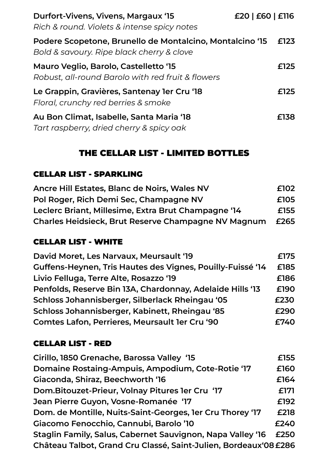| Durfort-Vivens, Vivens, Margaux '15<br>Rich & round. Violets & intense spicy notes                    | £20   £60   £116 |      |
|-------------------------------------------------------------------------------------------------------|------------------|------|
| Podere Scopetone, Brunello de Montalcino, Montalcino '15<br>Bold & savoury. Ripe black cherry & clove |                  | £123 |
| Mauro Veglio, Barolo, Castelletto '15<br>Robust, all-round Barolo with red fruit & flowers            |                  | £125 |
| Le Grappin, Gravières, Santenay ler Cru '18<br>Floral, crunchy red berries & smoke                    |                  | £125 |
| Au Bon Climat, Isabelle, Santa Maria '18<br>Tart raspberry, dried cherry & spicy oak                  |                  | £138 |

# THE CELLAR LIST - LIMITED BOTTLES

### CELLAR LIST - SPARKLING

| Ancre Hill Estates, Blanc de Noirs, Wales NV        | £102 |
|-----------------------------------------------------|------|
| Pol Roger, Rich Demi Sec, Champagne NV              | £105 |
| Leclerc Briant, Millesime, Extra Brut Champagne '14 | £155 |
| Charles Heidsieck, Brut Reserve Champagne NV Magnum | £265 |

### CELLAR LIST - WHITE

| David Moret, Les Narvaux, Meursault '19                    | £175 |
|------------------------------------------------------------|------|
| Guffens-Heynen, Tris Hautes des Vignes, Pouilly-Fuissé '14 | £185 |
| Livio Felluga, Terre Alte, Rosazzo '19                     | £186 |
| Penfolds, Reserve Bin 13A, Chardonnay, Adelaide Hills '13  | £190 |
| Schloss Johannisberger, Silberlack Rheingau '05            | £230 |
| Schloss Johannisberger, Kabinett, Rheingau '85             | £290 |
| Comtes Lafon, Perrieres, Meursault 1er Cru '90             | £740 |

### CELLAR LIST - RED

| Cirillo, 1850 Grenache, Barossa Valley '15                       | £155 |
|------------------------------------------------------------------|------|
| Domaine Rostaing-Ampuis, Ampodium, Cote-Rotie '17                | £160 |
| Giaconda, Shiraz, Beechworth '16                                 | £164 |
| Dom.Bitouzet-Prieur, Volnay Pitures 1er Cru '17                  | £171 |
| Jean Pierre Guyon, Vosne-Romanée '17                             | £192 |
| Dom. de Montille, Nuits-Saint-Georges, 1er Cru Thorey '17        | £218 |
| Giacomo Fenocchio, Cannubi, Barolo '10                           | £240 |
| Staglin Family, Salus, Cabernet Sauvignon, Napa Valley '16       | £250 |
| Château Talbot, Grand Cru Classé, Saint-Julien, Bordeaux'08 £286 |      |
|                                                                  |      |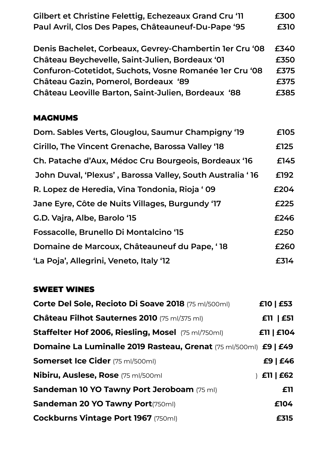| Gilbert et Christine Felettig, Echezeaux Grand Cru '11 | £300 |
|--------------------------------------------------------|------|
| Paul Avril, Clos Des Papes, Châteauneuf-Du-Pape '95    | £310 |

| Denis Bachelet, Corbeaux, Gevrey-Chambertin 1er Cru '08 | £340 |
|---------------------------------------------------------|------|
| Château Beychevelle, Saint-Julien, Bordeaux '01         | £350 |
| Confuron-Cotetidot, Suchots, Vosne Romanée ler Cru '08  | £375 |
| Château Gazin, Pomerol, Bordeaux '89                    | £375 |
| Château Leoville Barton, Saint-Julien, Bordeaux '88     | £385 |

#### MAGNUMS

| Dom. Sables Verts, Glouglou, Saumur Champigny '19         | £105 |
|-----------------------------------------------------------|------|
| Cirillo, The Vincent Grenache, Barossa Valley '18         | £125 |
| Ch. Patache d'Aux, Médoc Cru Bourgeois, Bordeaux '16      | £145 |
| John Duval, 'Plexus', Barossa Valley, South Australia '16 | £192 |
| R. Lopez de Heredia, Vina Tondonia, Rioja ' 09            | £204 |
| Jane Eyre, Côte de Nuits Villages, Burgundy '17           | £225 |
| G.D. Vajra, Albe, Barolo '15                              | £246 |
| Fossacolle, Brunello Di Montalcino '15                    | £250 |
| Domaine de Marcoux, Châteauneuf du Pape, '18              | £260 |
| 'La Poja', Allegrini, Veneto, Italy '12                   | £314 |
|                                                           |      |

# SWEET WINES

| Corte Del Sole, Recioto Di Soave 2018 (75 ml/500ml)              | £10   £53  |
|------------------------------------------------------------------|------------|
| Château Filhot Sauternes 2010 (75 ml/375 ml)                     | £11   £51  |
| <b>Staffelter Hof 2006, Riesling, Mosel</b> (75 ml/750ml)        | £11   £104 |
| Domaine La Luminalle 2019 Rasteau, Grenat (75 ml/500ml) £9   £49 |            |
| <b>Somerset Ice Cider</b> (75 ml/500ml)                          | £9   £46   |
| Nibiru, Auslese, Rose (75 ml/500ml                               | £11   £62  |
| <b>Sandeman 10 YO Tawny Port Jeroboam</b> (75 ml)                | £11        |
| <b>Sandeman 20 YO Tawny Port</b> (750ml)                         | £104       |
| <b>Cockburns Vintage Port 1967 (750ml)</b>                       | £315       |